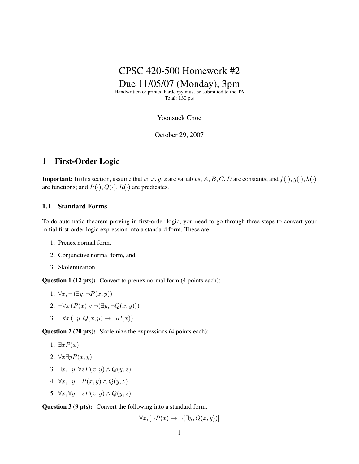

Handwritten or printed hardcopy must be submitted to the TA Total: 130 pts

Yoonsuck Choe

October 29, 2007

## 1 First-Order Logic

**Important:** In this section, assume that  $w, x, y, z$  are variables; A, B, C, D are constants; and  $f(\cdot), g(\cdot), h(\cdot)$ are functions; and  $P(\cdot), Q(\cdot), R(\cdot)$  are predicates.

### 1.1 Standard Forms

To do automatic theorem proving in first-order logic, you need to go through three steps to convert your initial first-order logic expression into a standard form. These are:

- 1. Prenex normal form,
- 2. Conjunctive normal form, and
- 3. Skolemization.

Question 1 (12 pts): Convert to prenex normal form (4 points each):

- 1.  $\forall x, \neg (\exists y, \neg P(x, y))$
- 2.  $\neg\forall x \left( P(x) \vee \neg (\exists y, \neg Q(x, y)) \right)$
- 3.  $\neg\forall x (\exists y, Q(x, y) \rightarrow \neg P(x))$

Question 2 (20 pts): Skolemize the expressions (4 points each):

- 1.  $\exists x P(x)$
- 2.  $\forall x \exists y P(x, y)$
- 3.  $\exists x, \exists y, \forall z P(x, y) \land Q(y, z)$
- 4.  $\forall x, \exists y, \exists P(x, y) \land Q(y, z)$
- 5.  $\forall x, \forall y, \exists z P(x, y) \land Q(y, z)$

Question 3 (9 pts): Convert the following into a standard form:

$$
\forall x, [\neg P(x) \rightarrow \neg (\exists y, Q(x, y))]
$$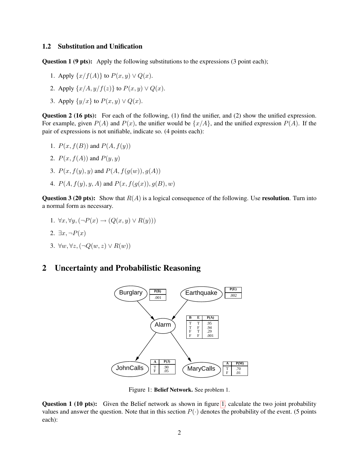#### 1.2 Substitution and Unification

Question 1 (9 pts): Apply the following substitutions to the expressions (3 point each);

- 1. Apply  $\{x/f(A)\}\$  to  $P(x, y) \vee Q(x)$ .
- 2. Apply  $\{x/A, y/f(z)\}\$  to  $P(x, y) \vee Q(x)$ .
- 3. Apply  $\{y/x\}$  to  $P(x, y) \vee Q(x)$ .

Question 2 (16 pts): For each of the following, (1) find the unifier, and (2) show the unified expression. For example, given  $P(A)$  and  $P(x)$ , the unifier would be  $\{x/A\}$ , and the unified expression  $P(A)$ . If the pair of expressions is not unifiable, indicate so. (4 points each):

- 1.  $P(x, f(B))$  and  $P(A, f(y))$
- 2.  $P(x, f(A))$  and  $P(y, y)$
- 3.  $P(x, f(y), y)$  and  $P(A, f(g(w)), g(A))$
- 4.  $P(A, f(y), y, A)$  and  $P(x, f(q(x)), q(B), w)$

**Question 3 (20 pts):** Show that  $R(A)$  is a logical consequence of the following. Use **resolution**. Turn into a normal form as necessary.

- 1.  $\forall x, \forall y, (\neg P(x) \rightarrow (Q(x, y) \vee R(y)))$
- 2.  $\exists x, \neg P(x)$
- 3.  $\forall w, \forall z, (\neg Q(w, z) \vee R(w))$

## 2 Uncertainty and Probabilistic Reasoning



<span id="page-1-0"></span>Figure 1: Belief Network. See problem 1.

**Question 1 (10 pts):** Given the Belief network as shown in figure [1,](#page-1-0) calculate the two joint probability values and answer the question. Note that in this section  $P(\cdot)$  denotes the probability of the event. (5 points each):